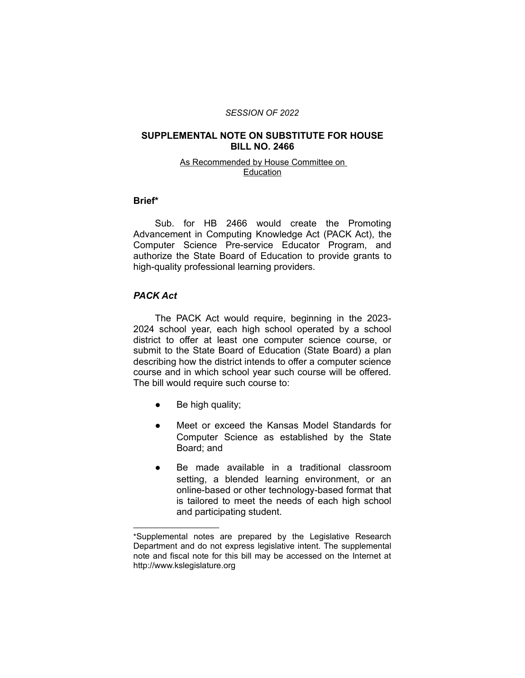#### *SESSION OF 2022*

### **SUPPLEMENTAL NOTE ON SUBSTITUTE FOR HOUSE BILL NO. 2466**

#### As Recommended by House Committee on Education

#### **Brief\***

Sub. for HB 2466 would create the Promoting Advancement in Computing Knowledge Act (PACK Act), the Computer Science Pre-service Educator Program, and authorize the State Board of Education to provide grants to high-quality professional learning providers.

### *PACK Act*

The PACK Act would require, beginning in the 2023- 2024 school year, each high school operated by a school district to offer at least one computer science course, or submit to the State Board of Education (State Board) a plan describing how the district intends to offer a computer science course and in which school year such course will be offered. The bill would require such course to:

Be high quality;

 $\overline{\phantom{a}}$  , where  $\overline{\phantom{a}}$  , where  $\overline{\phantom{a}}$ 

- Meet or exceed the Kansas Model Standards for Computer Science as established by the State Board; and
- Be made available in a traditional classroom setting, a blended learning environment, or an online-based or other technology-based format that is tailored to meet the needs of each high school and participating student.

<sup>\*</sup>Supplemental notes are prepared by the Legislative Research Department and do not express legislative intent. The supplemental note and fiscal note for this bill may be accessed on the Internet at http://www.kslegislature.org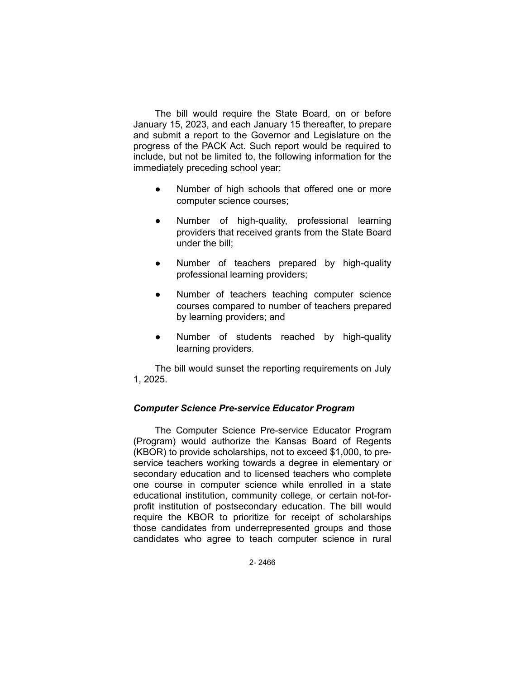The bill would require the State Board, on or before January 15, 2023, and each January 15 thereafter, to prepare and submit a report to the Governor and Legislature on the progress of the PACK Act. Such report would be required to include, but not be limited to, the following information for the immediately preceding school year:

- Number of high schools that offered one or more computer science courses;
- Number of high-quality, professional learning providers that received grants from the State Board under the bill;
- Number of teachers prepared by high-quality professional learning providers;
- Number of teachers teaching computer science courses compared to number of teachers prepared by learning providers; and
- Number of students reached by high-quality learning providers.

The bill would sunset the reporting requirements on July 1, 2025.

## *Computer Science Pre-service Educator Program*

The Computer Science Pre-service Educator Program (Program) would authorize the Kansas Board of Regents (KBOR) to provide scholarships, not to exceed \$1,000, to preservice teachers working towards a degree in elementary or secondary education and to licensed teachers who complete one course in computer science while enrolled in a state educational institution, community college, or certain not-forprofit institution of postsecondary education. The bill would require the KBOR to prioritize for receipt of scholarships those candidates from underrepresented groups and those candidates who agree to teach computer science in rural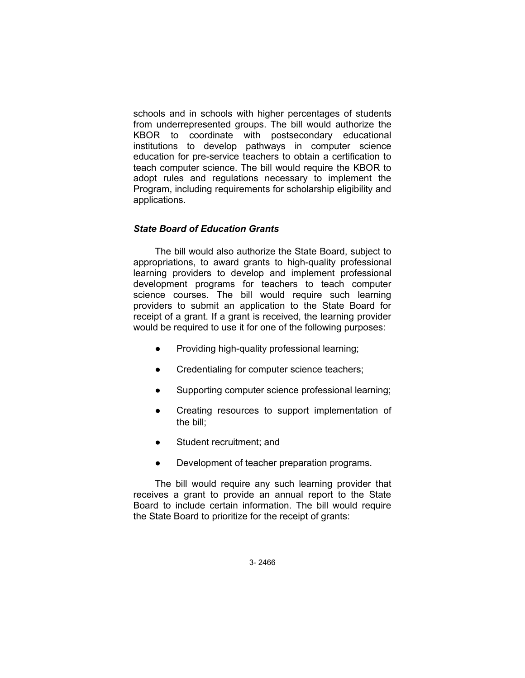schools and in schools with higher percentages of students from underrepresented groups. The bill would authorize the KBOR to coordinate with postsecondary educational institutions to develop pathways in computer science education for pre-service teachers to obtain a certification to teach computer science. The bill would require the KBOR to adopt rules and regulations necessary to implement the Program, including requirements for scholarship eligibility and applications.

## *State Board of Education Grants*

The bill would also authorize the State Board, subject to appropriations, to award grants to high-quality professional learning providers to develop and implement professional development programs for teachers to teach computer science courses. The bill would require such learning providers to submit an application to the State Board for receipt of a grant. If a grant is received, the learning provider would be required to use it for one of the following purposes:

- Providing high-quality professional learning;
- Credentialing for computer science teachers;
- Supporting computer science professional learning;
- Creating resources to support implementation of the bill;
- Student recruitment; and
- Development of teacher preparation programs.

The bill would require any such learning provider that receives a grant to provide an annual report to the State Board to include certain information. The bill would require the State Board to prioritize for the receipt of grants: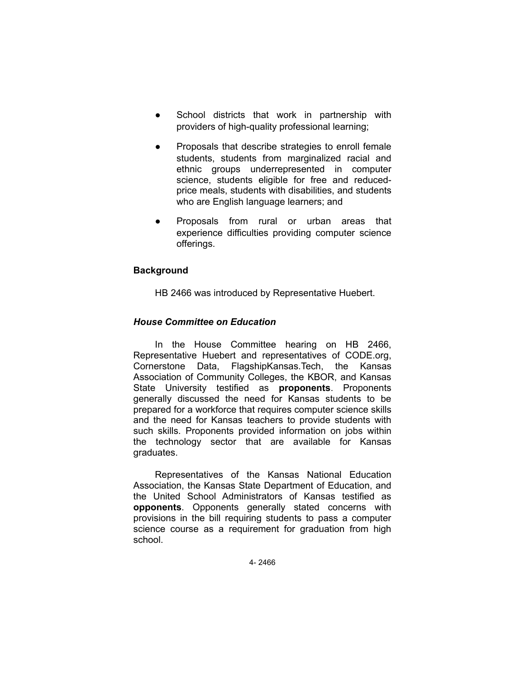- School districts that work in partnership with providers of high-quality professional learning;
- Proposals that describe strategies to enroll female students, students from marginalized racial and ethnic groups underrepresented in computer science, students eligible for free and reducedprice meals, students with disabilities, and students who are English language learners; and
- Proposals from rural or urban areas that experience difficulties providing computer science offerings.

# **Background**

HB 2466 was introduced by Representative Huebert.

# *House Committee on Education*

In the House Committee hearing on HB 2466, Representative Huebert and representatives of CODE.org, Cornerstone Data, FlagshipKansas.Tech, the Kansas Association of Community Colleges, the KBOR, and Kansas State University testified as **proponents**. Proponents generally discussed the need for Kansas students to be prepared for a workforce that requires computer science skills and the need for Kansas teachers to provide students with such skills. Proponents provided information on jobs within the technology sector that are available for Kansas graduates.

Representatives of the Kansas National Education Association, the Kansas State Department of Education, and the United School Administrators of Kansas testified as **opponents**. Opponents generally stated concerns with provisions in the bill requiring students to pass a computer science course as a requirement for graduation from high school.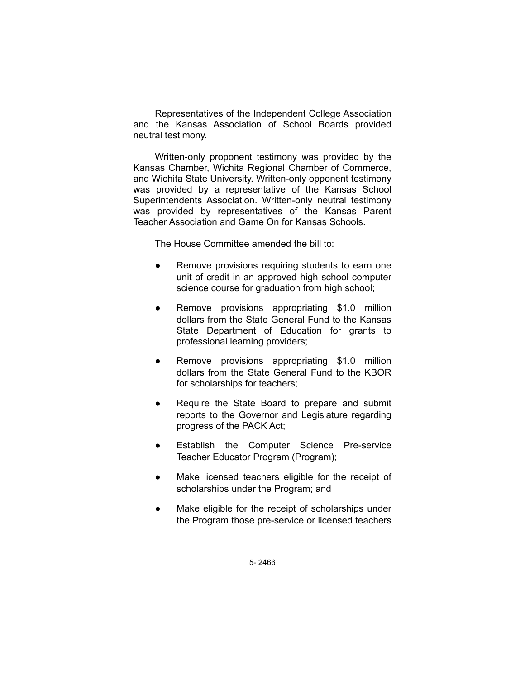Representatives of the Independent College Association and the Kansas Association of School Boards provided neutral testimony.

Written-only proponent testimony was provided by the Kansas Chamber, Wichita Regional Chamber of Commerce, and Wichita State University. Written-only opponent testimony was provided by a representative of the Kansas School Superintendents Association. Written-only neutral testimony was provided by representatives of the Kansas Parent Teacher Association and Game On for Kansas Schools.

The House Committee amended the bill to:

- Remove provisions requiring students to earn one unit of credit in an approved high school computer science course for graduation from high school;
- Remove provisions appropriating \$1.0 million dollars from the State General Fund to the Kansas State Department of Education for grants to professional learning providers;
- Remove provisions appropriating \$1.0 million dollars from the State General Fund to the KBOR for scholarships for teachers;
- Require the State Board to prepare and submit reports to the Governor and Legislature regarding progress of the PACK Act;
- Establish the Computer Science Pre-service Teacher Educator Program (Program);
- Make licensed teachers eligible for the receipt of scholarships under the Program; and
- Make eligible for the receipt of scholarships under the Program those pre-service or licensed teachers